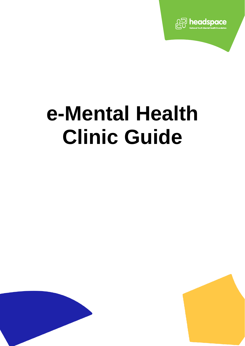

# **e-Mental Health Clinic Guide**



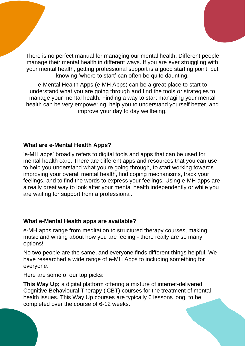There is no perfect manual for managing our mental health. Different people manage their mental health in different ways. If you are ever struggling with your mental health, getting professional support is a good starting point, but knowing 'where to start' can often be quite daunting.

e-Mental Health Apps (e-MH Apps) can be a great place to start to understand what you are going through and find the tools or strategies to manage your mental health. Finding a way to start managing your mental health can be very empowering, help you to understand yourself better, and improve your day to day wellbeing.

## **What are e-Mental Health Apps?**

'e-MH apps' broadly refers to digital tools and apps that can be used for mental health care. There are different apps and resources that you can use to help you understand what you're going through, to start working towards improving your overall mental health, find coping mechanisms, track your feelings, and to find the words to express your feelings. Using e-MH apps are a really great way to look after your mental health independently or while you are waiting for support from a professional.

## **What e-Mental Health apps are available?**

e-MH apps range from meditation to structured therapy courses, making music and writing about how you are feeling - there really are so many options!

No two people are the same, and everyone finds different things helpful. We have researched a wide range of e-MH Apps to including something for everyone.

Here are some of our top picks:

**This Way Up;** a digital platform offering a mixture of internet-delivered Cognitive Behavioural Therapy (iCBT) courses for the treatment of mental health issues. This Way Up courses are typically 6 lessons long, to be completed over the course of 6-12 weeks.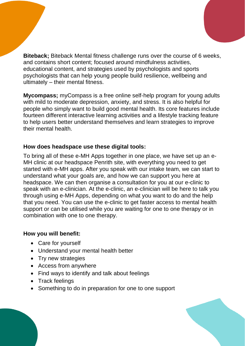**Biteback;** Biteback Mental fitness challenge runs over the course of 6 weeks, and contains short content; focused around mindfulness activities, educational content, and strategies used by psychologists and sports psychologists that can help young people build resilience, wellbeing and ultimately – their mental fitness.

**Mycompass;** myCompass is a free online self-help program for young adults with mild to moderate depression, anxiety, and stress. It is also helpful for people who simply want to build good mental health. Its core features include fourteen different interactive learning activities and a lifestyle tracking feature to help users better understand themselves and learn strategies to improve their mental health.

### **How does headspace use these digital tools:**

To bring all of these e-MH Apps together in one place, we have set up an e-MH clinic at our headspace Penrith site, with everything you need to get started with e-MH apps. After you speak with our intake team, we can start to understand what your goals are, and how we can support you here at headspace. We can then organise a consultation for you at our e-clinic to speak with an e-clinician. At the e-clinic, an e-clinician will be here to talk you through using e-MH Apps, depending on what you want to do and the help that you need. You can use the e-clinic to get faster access to mental health support or can be utilised while you are waiting for one to one therapy or in combination with one to one therapy.

#### **How you will benefit:**

- Care for yourself
- Understand your mental health better
- Try new strategies
- Access from anywhere
- Find ways to identify and talk about feelings
- Track feelings
- Something to do in preparation for one to one support